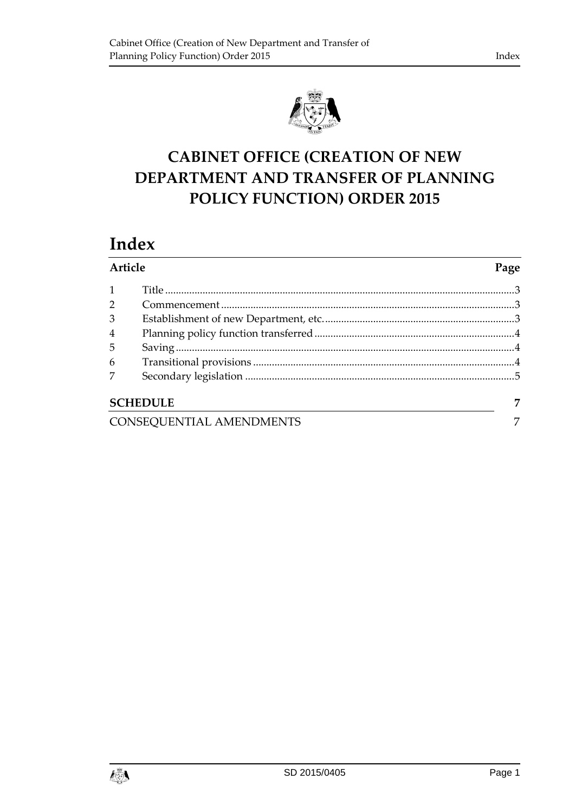

# **CABINET OFFICE (CREATION OF NEW DEPARTMENT AND TRANSFER OF PLANNING POLICY FUNCTION) ORDER 2015**

## **Index**

| Article                  |                 | Page |
|--------------------------|-----------------|------|
| $\mathbf{1}$             |                 |      |
| $\overline{2}$           |                 |      |
| 3                        |                 |      |
| 4                        |                 |      |
| 5                        |                 |      |
| 6                        |                 |      |
| 7                        |                 |      |
|                          | <b>SCHEDULE</b> | 7    |
| CONSEQUENTIAL AMENDMENTS |                 | 7    |

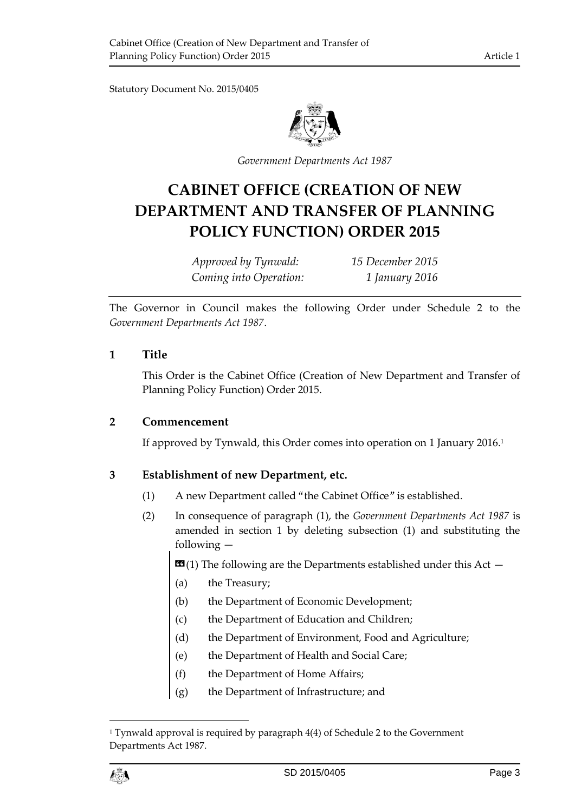Statutory Document No. 2015/0405



*Government Departments Act 1987*

## **CABINET OFFICE (CREATION OF NEW DEPARTMENT AND TRANSFER OF PLANNING POLICY FUNCTION) ORDER 2015**

*Approved by Tynwald: 15 December 2015 Coming into Operation: 1 January 2016*

The Governor in Council makes the following Order under Schedule 2 to the *Government Departments Act 1987*.

#### <span id="page-2-0"></span>**1 Title**

This Order is the Cabinet Office (Creation of New Department and Transfer of Planning Policy Function) Order 2015.

#### <span id="page-2-1"></span>**2 Commencement**

If approved by Tynwald, this Order comes into operation on 1 January 2016. 1

#### <span id="page-2-2"></span>**3 Establishment of new Department, etc.**

- (1) A new Department called "the Cabinet Office" is established.
- (2) In consequence of paragraph (1), the *Government Departments Act 1987* is amended in section 1 by deleting subsection (1) and substituting the following —
	- **(1) The following are the Departments established under this Act**  $-$
	- (a) the Treasury;
	- (b) the Department of Economic Development;
	- (c) the Department of Education and Children;
	- (d) the Department of Environment, Food and Agriculture;
	- (e) the Department of Health and Social Care;
	- (f) the Department of Home Affairs;
	- (g) the Department of Infrastructure; and



 $\overline{a}$ 

<sup>&</sup>lt;sup>1</sup> Tynwald approval is required by paragraph 4(4) of Schedule 2 to the Government Departments Act 1987.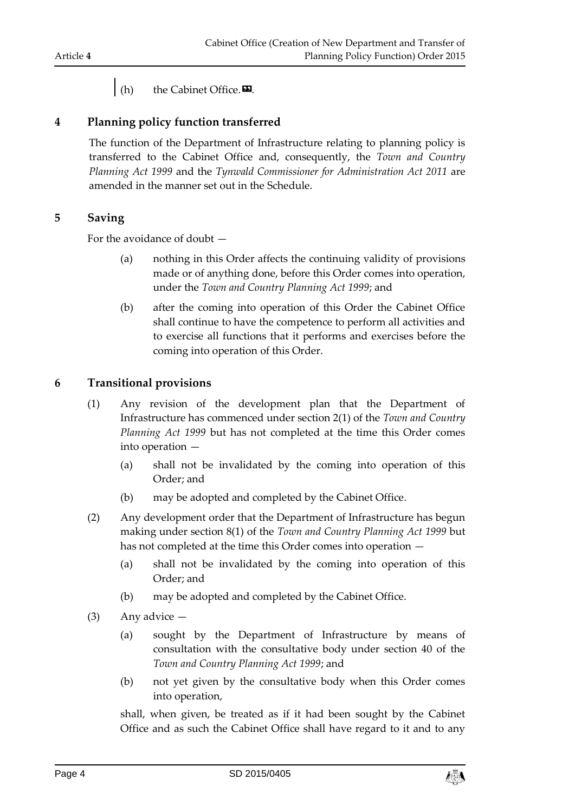## (h) the Cabinet Office. $\mathbf{\Sigma}$ .

#### <span id="page-3-0"></span>**4 Planning policy function transferred**

The function of the Department of Infrastructure relating to planning policy is transferred to the Cabinet Office and, consequently, the *Town and Country Planning Act 1999* and the *Tynwald Commissioner for Administration Act 2011* are amended in the manner set out in the Schedule.

#### <span id="page-3-1"></span>**5 Saving**

For the avoidance of doubt —

- (a) nothing in this Order affects the continuing validity of provisions made or of anything done, before this Order comes into operation, under the *Town and Country Planning Act 1999*; and
- (b) after the coming into operation of this Order the Cabinet Office shall continue to have the competence to perform all activities and to exercise all functions that it performs and exercises before the coming into operation of this Order.

#### <span id="page-3-2"></span>**6 Transitional provisions**

- (1) Any revision of the development plan that the Department of Infrastructure has commenced under section 2(1) of the *Town and Country Planning Act 1999* but has not completed at the time this Order comes into operation —
	- (a) shall not be invalidated by the coming into operation of this Order; and
	- (b) may be adopted and completed by the Cabinet Office.
- (2) Any development order that the Department of Infrastructure has begun making under section 8(1) of the *Town and Country Planning Act 1999* but has not completed at the time this Order comes into operation —
	- (a) shall not be invalidated by the coming into operation of this Order; and
	- (b) may be adopted and completed by the Cabinet Office.
- (3) Any advice
	- (a) sought by the Department of Infrastructure by means of consultation with the consultative body under section 40 of the *Town and Country Planning Act 1999*; and
	- (b) not yet given by the consultative body when this Order comes into operation,

shall, when given, be treated as if it had been sought by the Cabinet Office and as such the Cabinet Office shall have regard to it and to any

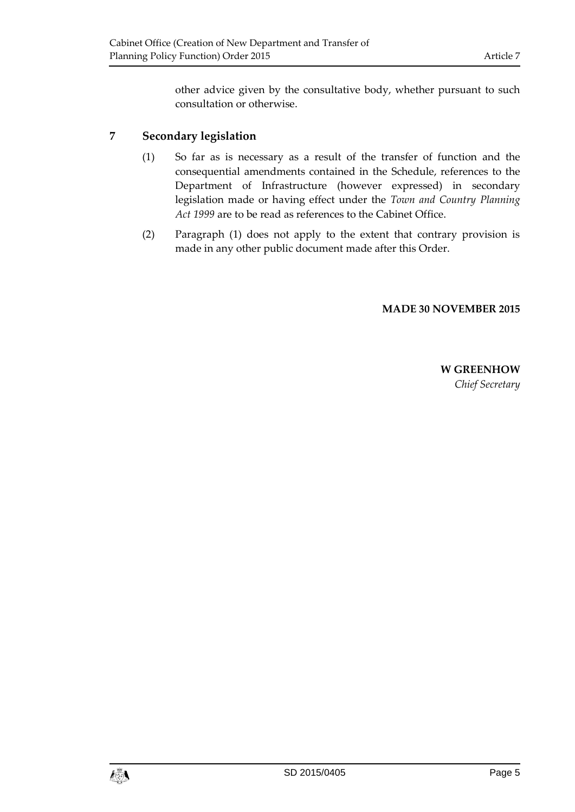other advice given by the consultative body, whether pursuant to such consultation or otherwise.

## <span id="page-4-0"></span>**7 Secondary legislation**

- (1) So far as is necessary as a result of the transfer of function and the consequential amendments contained in the Schedule, references to the Department of Infrastructure (however expressed) in secondary legislation made or having effect under the *Town and Country Planning Act 1999* are to be read as references to the Cabinet Office.
- (2) Paragraph (1) does not apply to the extent that contrary provision is made in any other public document made after this Order.

#### **MADE 30 NOVEMBER 2015**

**W GREENHOW** *Chief Secretary*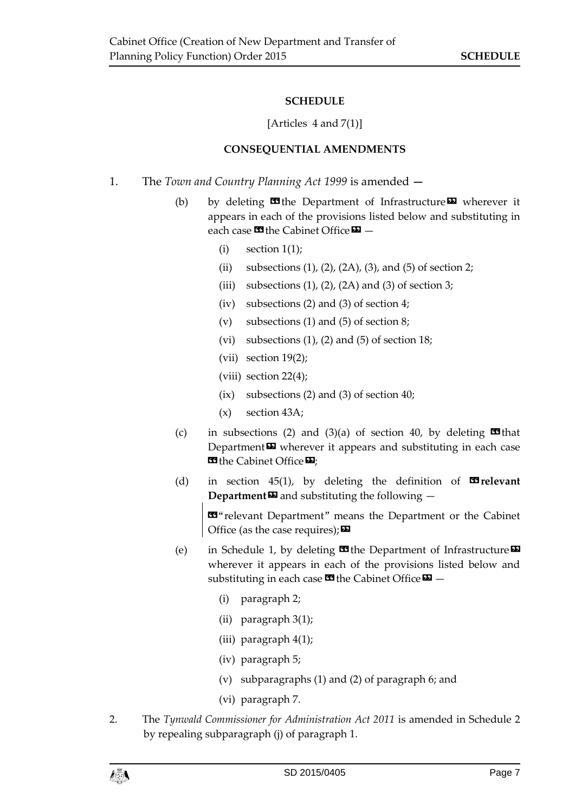#### **SCHEDULE**

#### [Articles 4 and 7(1)]

#### **CONSEQUENTIAL AMENDMENTS**

- <span id="page-6-1"></span><span id="page-6-0"></span>1. The *Town and Country Planning Act 1999* is amended **—**
	- (b) by deleting  $\mathbf{C}$  the Department of Infrastructure  $\mathbf{D}$  wherever it appears in each of the provisions listed below and substituting in each case  $\blacksquare$  the Cabinet Office  $\blacksquare$  -
		- $(i)$  section  $1(1)$ :
		- (ii) subsections  $(1)$ ,  $(2)$ ,  $(2A)$ ,  $(3)$ , and  $(5)$  of section 2;
		- (iii) subsections  $(1)$ ,  $(2)$ ,  $(2A)$  and  $(3)$  of section 3;
		- (iv) subsections (2) and (3) of section 4;
		- (v) subsections (1) and (5) of section 8;
		- (vi) subsections  $(1)$ ,  $(2)$  and  $(5)$  of section 18;
		- (vii) section 19(2);
		- (viii) section 22(4);
		- (ix) subsections (2) and (3) of section 40;
		- (x) section 43A;
	- (c) in subsections (2) and (3)(a) of section 40, by deleting  $\Box$  that Department $\boldsymbol{\mathsf{\Xi}}$  wherever it appears and substituting in each case **EG** the Cabinet Office  $\mathbf{E}$ ;
	- (d) in section 45(1), by deleting the definition of  $\blacksquare$ **relevant Department** $\boldsymbol{\Xi}$  and substituting the following  $-$

«"relevant Department" means the Department or the Cabinet Office (as the case requires);  $\boldsymbol{\Sigma}$ 

- (e) in Schedule 1, by deleting  $\blacksquare$  the Department of Infrastructure  $\blacksquare$ wherever it appears in each of the provisions listed below and substituting in each case  $\mathbf{G}$  the Cabinet Office  $\mathbf{D}$  –
	- (i) paragraph 2;
	- (ii) paragraph 3(1);
	- (iii) paragraph 4(1);
	- (iv) paragraph 5;
	- (v) subparagraphs (1) and (2) of paragraph 6; and
	- (vi) paragraph 7.
- 2. The *Tynwald Commissioner for Administration Act 2011* is amended in Schedule 2 by repealing subparagraph (j) of paragraph 1.